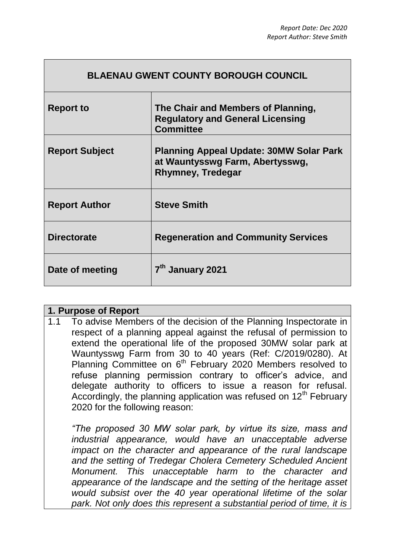| <b>BLAENAU GWENT COUNTY BOROUGH COUNCIL</b> |                                                                                                               |
|---------------------------------------------|---------------------------------------------------------------------------------------------------------------|
| <b>Report to</b>                            | The Chair and Members of Planning,<br><b>Regulatory and General Licensing</b><br><b>Committee</b>             |
| <b>Report Subject</b>                       | <b>Planning Appeal Update: 30MW Solar Park</b><br>at Wauntysswg Farm, Abertysswg,<br><b>Rhymney, Tredegar</b> |
| <b>Report Author</b>                        | <b>Steve Smith</b>                                                                                            |
| <b>Directorate</b>                          | <b>Regeneration and Community Services</b>                                                                    |
| Date of meeting                             | 7 <sup>th</sup> January 2021                                                                                  |

| 1. Purpose of Report |     |                                                                                                                                                                                                                                                                                                                                                                                                                                                                                                                                                                                                        |
|----------------------|-----|--------------------------------------------------------------------------------------------------------------------------------------------------------------------------------------------------------------------------------------------------------------------------------------------------------------------------------------------------------------------------------------------------------------------------------------------------------------------------------------------------------------------------------------------------------------------------------------------------------|
|                      | 1.1 | To advise Members of the decision of the Planning Inspectorate in<br>respect of a planning appeal against the refusal of permission to<br>extend the operational life of the proposed 30MW solar park at<br>Wauntysswg Farm from 30 to 40 years (Ref: C/2019/0280). At<br>Planning Committee on 6 <sup>th</sup> February 2020 Members resolved to<br>refuse planning permission contrary to officer's advice, and<br>delegate authority to officers to issue a reason for refusal.<br>Accordingly, the planning application was refused on 12 <sup>th</sup> February<br>2020 for the following reason: |
|                      |     | "The proposed 30 MW solar park, by virtue its size, mass and<br>industrial appearance, would have an unacceptable adverse<br>impact on the character and appearance of the rural landscape<br>and the setting of Tredegar Cholera Cemetery Scheduled Ancient<br>Monument. This unacceptable harm to the character and<br>appearance of the landscape and the setting of the heritage asset<br>would subsist over the 40 year operational lifetime of the solar<br>park. Not only does this represent a substantial period of time, it is                                                               |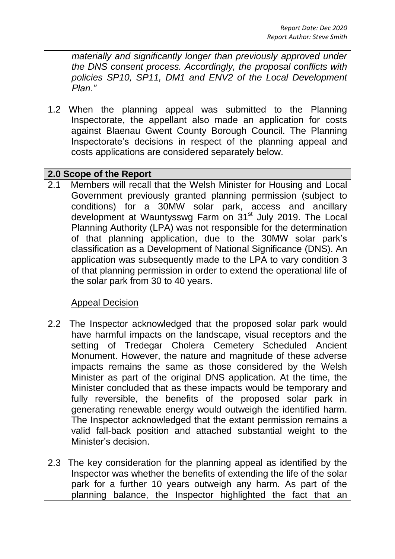*materially and significantly longer than previously approved under the DNS consent process. Accordingly, the proposal conflicts with policies SP10, SP11, DM1 and ENV2 of the Local Development Plan."*

1.2 When the planning appeal was submitted to the Planning Inspectorate, the appellant also made an application for costs against Blaenau Gwent County Borough Council. The Planning Inspectorate's decisions in respect of the planning appeal and costs applications are considered separately below.

## **2.0 Scope of the Report**

2.1 Members will recall that the Welsh Minister for Housing and Local Government previously granted planning permission (subject to conditions) for a 30MW solar park, access and ancillary development at Wauntysswg Farm on 31<sup>st</sup> July 2019. The Local Planning Authority (LPA) was not responsible for the determination of that planning application, due to the 30MW solar park's classification as a Development of National Significance (DNS). An application was subsequently made to the LPA to vary condition 3 of that planning permission in order to extend the operational life of the solar park from 30 to 40 years.

## Appeal Decision

- 2.2 The Inspector acknowledged that the proposed solar park would have harmful impacts on the landscape, visual receptors and the setting of Tredegar Cholera Cemetery Scheduled Ancient Monument. However, the nature and magnitude of these adverse impacts remains the same as those considered by the Welsh Minister as part of the original DNS application. At the time, the Minister concluded that as these impacts would be temporary and fully reversible, the benefits of the proposed solar park in generating renewable energy would outweigh the identified harm. The Inspector acknowledged that the extant permission remains a valid fall-back position and attached substantial weight to the Minister's decision.
- 2.3 The key consideration for the planning appeal as identified by the Inspector was whether the benefits of extending the life of the solar park for a further 10 years outweigh any harm. As part of the planning balance, the Inspector highlighted the fact that an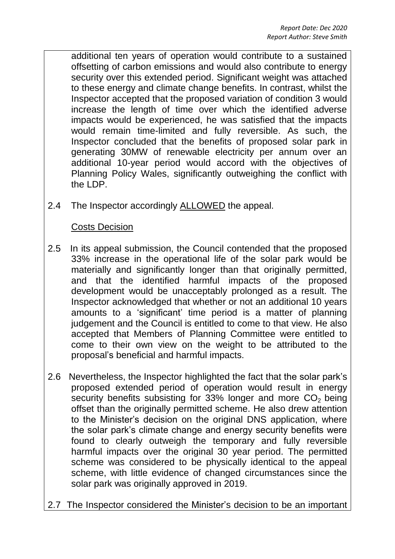additional ten years of operation would contribute to a sustained offsetting of carbon emissions and would also contribute to energy security over this extended period. Significant weight was attached to these energy and climate change benefits. In contrast, whilst the Inspector accepted that the proposed variation of condition 3 would increase the length of time over which the identified adverse impacts would be experienced, he was satisfied that the impacts would remain time-limited and fully reversible. As such, the Inspector concluded that the benefits of proposed solar park in generating 30MW of renewable electricity per annum over an additional 10-year period would accord with the objectives of Planning Policy Wales, significantly outweighing the conflict with the LDP.

2.4 The Inspector accordingly ALLOWED the appeal.

## Costs Decision

- 2.5 In its appeal submission, the Council contended that the proposed 33% increase in the operational life of the solar park would be materially and significantly longer than that originally permitted, and that the identified harmful impacts of the proposed development would be unacceptably prolonged as a result. The Inspector acknowledged that whether or not an additional 10 years amounts to a 'significant' time period is a matter of planning judgement and the Council is entitled to come to that view. He also accepted that Members of Planning Committee were entitled to come to their own view on the weight to be attributed to the proposal's beneficial and harmful impacts.
- 2.6 Nevertheless, the Inspector highlighted the fact that the solar park's proposed extended period of operation would result in energy security benefits subsisting for  $33\%$  longer and more  $CO<sub>2</sub>$  being offset than the originally permitted scheme. He also drew attention to the Minister's decision on the original DNS application, where the solar park's climate change and energy security benefits were found to clearly outweigh the temporary and fully reversible harmful impacts over the original 30 year period. The permitted scheme was considered to be physically identical to the appeal scheme, with little evidence of changed circumstances since the solar park was originally approved in 2019.
- 2.7 The Inspector considered the Minister's decision to be an important